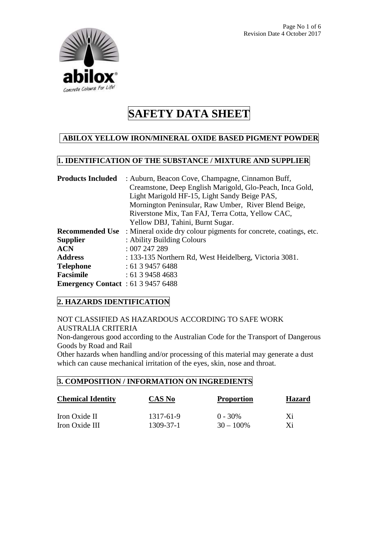

# **ABILOX YELLOW IRON/MINERAL OXIDE BASED PIGMENT POWDER**

## **1. IDENTIFICATION OF THE SUBSTANCE / MIXTURE AND SUPPLIER**

| <b>Products Included</b>                  | : Auburn, Beacon Cove, Champagne, Cinnamon Buff,                 |  |
|-------------------------------------------|------------------------------------------------------------------|--|
|                                           | Creamstone, Deep English Marigold, Glo-Peach, Inca Gold,         |  |
|                                           | Light Marigold HF-15, Light Sandy Beige PAS,                     |  |
|                                           | Mornington Peninsular, Raw Umber, River Blend Beige,             |  |
|                                           | Riverstone Mix, Tan FAJ, Terra Cotta, Yellow CAC,                |  |
|                                           | Yellow DBJ, Tahini, Burnt Sugar.                                 |  |
| <b>Recommended Use</b>                    | : Mineral oxide dry colour pigments for concrete, coatings, etc. |  |
| <b>Supplier</b>                           | : Ability Building Colours                                       |  |
| ACN                                       | :007247289                                                       |  |
| <b>Address</b>                            | : 133-135 Northern Rd, West Heidelberg, Victoria 3081.           |  |
| Telephone                                 | : 61394576488                                                    |  |
| Facsimile                                 | : 61394584683                                                    |  |
| <b>Emergency Contact</b> : 61 3 9457 6488 |                                                                  |  |

# **2. HAZARDS IDENTIFICATION**

NOT CLASSIFIED AS HAZARDOUS ACCORDING TO SAFE WORK AUSTRALIA CRITERIA

Non-dangerous good according to the Australian Code for the Transport of Dangerous Goods by Road and Rail

Other hazards when handling and/or processing of this material may generate a dust which can cause mechanical irritation of the eyes, skin, nose and throat.

### **3. COMPOSITION / INFORMATION ON INGREDIENTS**

| <b>Chemical Identity</b> | CAS No    | <b>Proportion</b> | <b>Hazard</b> |
|--------------------------|-----------|-------------------|---------------|
| Iron Oxide II            | 1317-61-9 | $0 - 30\%$        | Xi            |
| Iron Oxide III           | 1309-37-1 | $30 - 100\%$      | Xi            |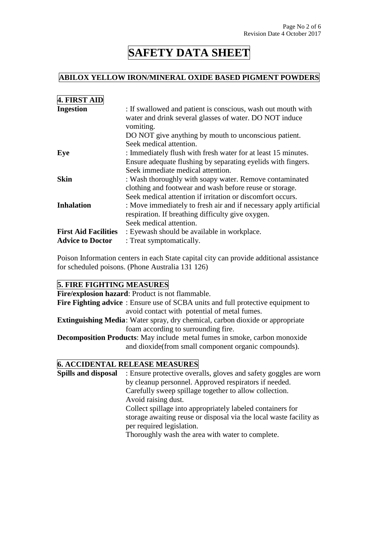### **ABILOX YELLOW IRON/MINERAL OXIDE BASED PIGMENT POWDERS**

| 4. FIRST AID                |                                                                                                                                      |
|-----------------------------|--------------------------------------------------------------------------------------------------------------------------------------|
| <b>Ingestion</b>            | : If swallowed and patient is conscious, wash out mouth with<br>water and drink several glasses of water. DO NOT induce<br>vomiting. |
|                             | DO NOT give anything by mouth to unconscious patient.                                                                                |
|                             | Seek medical attention.                                                                                                              |
| Eye                         | : Immediately flush with fresh water for at least 15 minutes.                                                                        |
|                             | Ensure adequate flushing by separating eyelids with fingers.                                                                         |
|                             | Seek immediate medical attention.                                                                                                    |
| <b>Skin</b>                 | : Wash thoroughly with soapy water. Remove contaminated                                                                              |
|                             | clothing and footwear and wash before reuse or storage.                                                                              |
|                             | Seek medical attention if irritation or discomfort occurs.                                                                           |
| <b>Inhalation</b>           | : Move immediately to fresh air and if necessary apply artificial                                                                    |
|                             | respiration. If breathing difficulty give oxygen.                                                                                    |
|                             | Seek medical attention.                                                                                                              |
| <b>First Aid Facilities</b> | : Eyewash should be available in workplace.                                                                                          |
| <b>Advice to Doctor</b>     | : Treat symptomatically.                                                                                                             |

Poison Information centers in each State capital city can provide additional assistance for scheduled poisons. (Phone Australia 131 126)

#### **5. FIRE FIGHTING MEASURES**

**Fire/explosion hazard**: Product is not flammable. **Fire Fighting advice** : Ensure use of SCBA units and full protective equipment to avoid contact with potential of metal fumes. **Extinguishing Media**: Water spray, dry chemical, carbon dioxide or appropriate foam according to surrounding fire.

**Decomposition Products**: May include metal fumes in smoke, carbon monoxide and dioxide(from small component organic compounds).

#### **6. ACCIDENTAL RELEASE MEASURES**

**Spills and disposal** : Ensure protective overalls, gloves and safety goggles are worn by cleanup personnel. Approved respirators if needed. Carefully sweep spillage together to allow collection. Avoid raising dust. Collect spillage into appropriately labeled containers for storage awaiting reuse or disposal via the local waste facility as per required legislation. Thoroughly wash the area with water to complete.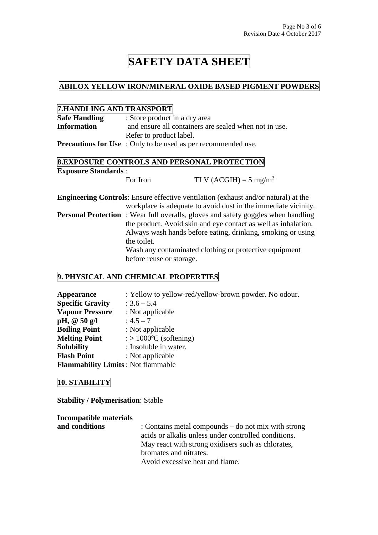### **ABILOX YELLOW IRON/MINERAL OXIDE BASED PIGMENT POWDERS**

### **7.HANDLING AND TRANSPORT**

| <b>Safe Handling</b> | : Store product in a dry area                                        |  |
|----------------------|----------------------------------------------------------------------|--|
| <b>Information</b>   | and ensure all containers are sealed when not in use.                |  |
|                      | Refer to product label.                                              |  |
|                      | <b>Precautions for Use</b> : Only to be used as per recommended use. |  |

## **8.EXPOSURE CONTROLS AND PERSONAL PROTECTION Exposure Standards** :

For Iron TLV (ACGIH) =  $5 \text{ mg/m}^3$ 

**Engineering Controls**: Ensure effective ventilation (exhaust and/or natural) at the workplace is adequate to avoid dust in the immediate vicinity. **Personal Protection** : Wear full overalls, gloves and safety goggles when handling the product. Avoid skin and eye contact as well as inhalation. Always wash hands before eating, drinking, smoking or using the toilet. Wash any contaminated clothing or protective equipment before reuse or storage.

## **9. PHYSICAL AND CHEMICAL PROPERTIES**

| <b>Appearance</b>                         | : Yellow to yellow-red/yellow-brown powder. No odour. |
|-------------------------------------------|-------------------------------------------------------|
| <b>Specific Gravity</b>                   | $: 3.6 - 5.4$                                         |
| <b>Vapour Pressure</b>                    | : Not applicable                                      |
| pH, $@50 g/l$                             | $: 4.5 - 7$                                           |
| <b>Boiling Point</b>                      | : Not applicable                                      |
| <b>Melting Point</b>                      | $\therefore$ 1000 <sup>o</sup> C (softening)          |
| <b>Solubility</b>                         | : Insoluble in water.                                 |
| <b>Flash Point</b>                        | : Not applicable                                      |
| <b>Flammability Limits: Not flammable</b> |                                                       |

### **10. STABILITY**

**Stability / Polymerisation**: Stable

**Incompatible materials and conditions** : Contains metal compounds – do not mix with strong acids or alkalis unless under controlled conditions. May react with strong oxidisers such as chlorates, bromates and nitrates. Avoid excessive heat and flame.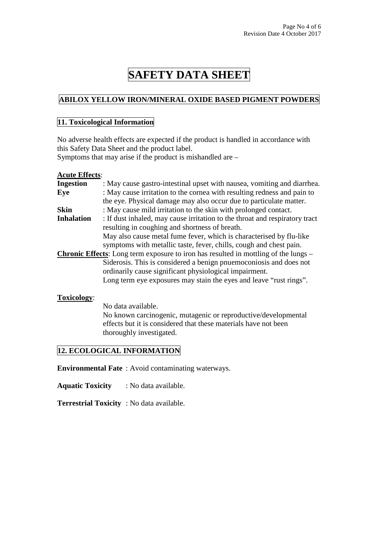# **ABILOX YELLOW IRON/MINERAL OXIDE BASED PIGMENT POWDERS**

### **11. Toxicological Information**

No adverse health effects are expected if the product is handled in accordance with this Safety Data Sheet and the product label.

Symptoms that may arise if the product is mishandled are –

#### **Acute Effects**:

| <b>Ingestion</b>  | : May cause gastro-intestinal upset with nausea, vomiting and diarrhea.                    |
|-------------------|--------------------------------------------------------------------------------------------|
| Eye               | : May cause irritation to the cornea with resulting redness and pain to                    |
|                   | the eye. Physical damage may also occur due to particulate matter.                         |
| <b>Skin</b>       | : May cause mild irritation to the skin with prolonged contact.                            |
| <b>Inhalation</b> | : If dust inhaled, may cause irritation to the throat and respiratory tract                |
|                   | resulting in coughing and shortness of breath.                                             |
|                   | May also cause metal fume fever, which is characterised by flu-like                        |
|                   | symptoms with metallic taste, fever, chills, cough and chest pain.                         |
|                   | <b>Chronic Effects:</b> Long term exposure to iron has resulted in mottling of the lungs – |
|                   | Siderosis. This is considered a benign pnuemoconiosis and does not                         |
|                   | ordinarily cause significant physiological impairment.                                     |
|                   | Long term eye exposures may stain the eyes and leave "rust rings".                         |
|                   |                                                                                            |

#### **Toxicology**:

 No data available. No known carcinogenic, mutagenic or reproductive/developmental effects but it is considered that these materials have not been thoroughly investigated.

### **12. ECOLOGICAL INFORMATION**

**Environmental Fate** : Avoid contaminating waterways.

**Aquatic Toxicity** : No data available.

**Terrestrial Toxicity** : No data available.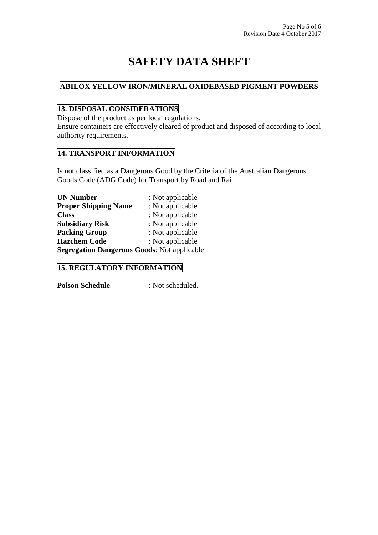## **ABILOX YELLOW IRON/MINERAL OXIDEBASED PIGMENT POWDERS**

# **13. DISPOSAL CONSIDERATIONS**

Dispose of the product as per local regulations.

Ensure containers are effectively cleared of product and disposed of according to local authority requirements.

# **14. TRANSPORT INFORMATION**

Is not classified as a Dangerous Good by the Criteria of the Australian Dangerous Goods Code (ADG Code) for Transport by Road and Rail.

| <b>UN Number</b>                                   | : Not applicable |
|----------------------------------------------------|------------------|
| <b>Proper Shipping Name</b>                        | : Not applicable |
| <b>Class</b>                                       | : Not applicable |
| <b>Subsidiary Risk</b>                             | : Not applicable |
| <b>Packing Group</b>                               | : Not applicable |
| <b>Hazchem Code</b>                                | : Not applicable |
| <b>Segregation Dangerous Goods: Not applicable</b> |                  |

# **15. REGULATORY INFORMATION**

**Poison Schedule** : Not scheduled.